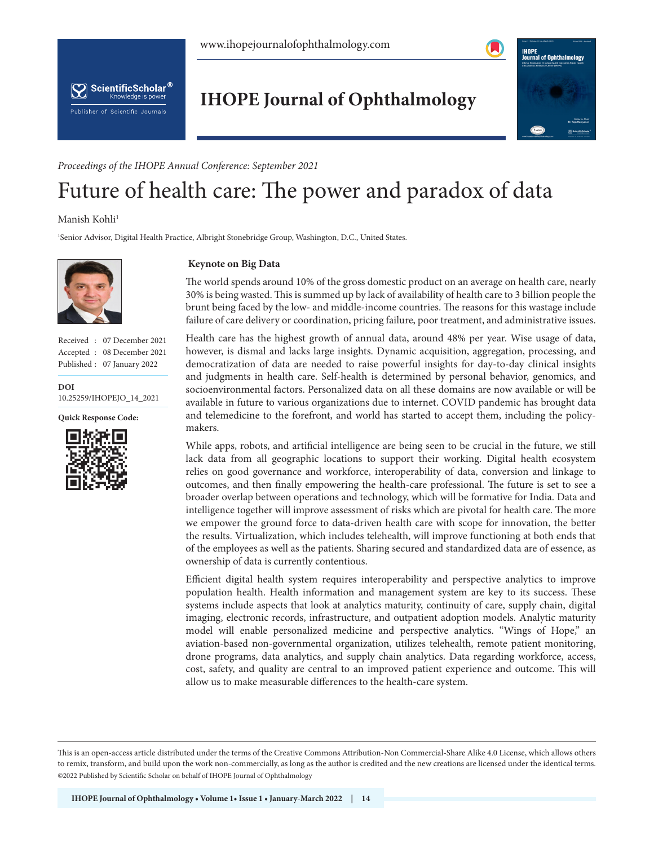





*Proceedings of the IHOPE Annual Conference: September 2021*

# Future of health care: The power and paradox of data

## Manish Kohli<sup>1</sup>

ScientificScholar<sup>®</sup> Knowledge is power

Publisher of Scientific Journals

1 Senior Advisor, Digital Health Practice, Albright Stonebridge Group, Washington, D.C., United States.



Received : 07 December 2021 Accepted : 08 December 2021 Published : 07 January 2022

**DOI** [10.25259/IHOPEJO\\_14\\_2021](https://dx.doi.org/10.25259/IHOPEJO_3_2021)





#### **Keynote on Big Data**

The world spends around 10% of the gross domestic product on an average on health care, nearly 30% is being wasted. This is summed up by lack of availability of health care to 3 billion people the brunt being faced by the low- and middle-income countries. The reasons for this wastage include failure of care delivery or coordination, pricing failure, poor treatment, and administrative issues.

Health care has the highest growth of annual data, around 48% per year. Wise usage of data, however, is dismal and lacks large insights. Dynamic acquisition, aggregation, processing, and democratization of data are needed to raise powerful insights for day-to-day clinical insights and judgments in health care. Self-health is determined by personal behavior, genomics, and socioenvironmental factors. Personalized data on all these domains are now available or will be available in future to various organizations due to internet. COVID pandemic has brought data and telemedicine to the forefront, and world has started to accept them, including the policymakers.

While apps, robots, and artificial intelligence are being seen to be crucial in the future, we still lack data from all geographic locations to support their working. Digital health ecosystem relies on good governance and workforce, interoperability of data, conversion and linkage to outcomes, and then finally empowering the health-care professional. The future is set to see a broader overlap between operations and technology, which will be formative for India. Data and intelligence together will improve assessment of risks which are pivotal for health care. The more we empower the ground force to data-driven health care with scope for innovation, the better the results. Virtualization, which includes telehealth, will improve functioning at both ends that of the employees as well as the patients. Sharing secured and standardized data are of essence, as ownership of data is currently contentious.

Efficient digital health system requires interoperability and perspective analytics to improve population health. Health information and management system are key to its success. These systems include aspects that look at analytics maturity, continuity of care, supply chain, digital imaging, electronic records, infrastructure, and outpatient adoption models. Analytic maturity model will enable personalized medicine and perspective analytics. "Wings of Hope," an aviation-based non-governmental organization, utilizes telehealth, remote patient monitoring, drone programs, data analytics, and supply chain analytics. Data regarding workforce, access, cost, safety, and quality are central to an improved patient experience and outcome. This will allow us to make measurable differences to the health-care system.

is is an open-access article distributed under the terms of the Creative Commons Attribution-Non Commercial-Share Alike 4.0 License, which allows others to remix, transform, and build upon the work non-commercially, as long as the author is credited and the new creations are licensed under the identical terms. ©2022 Published by Scientific Scholar on behalf of IHOPE Journal of Ophthalmology